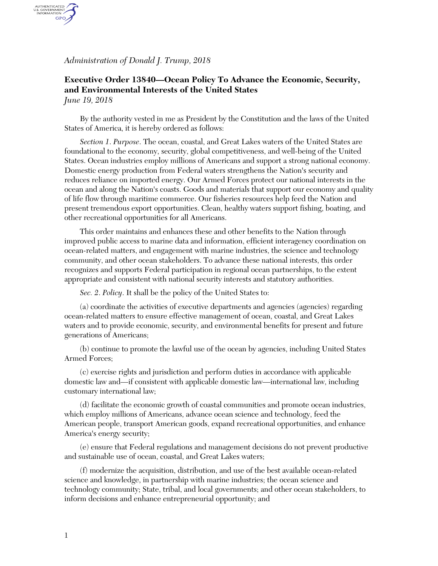*Administration of Donald J. Trump, 2018*

AUTHENTICATED<br>U.S. GOVERNMENT<br>INFORMATION GPO.

## **Executive Order 13840—Ocean Policy To Advance the Economic, Security, and Environmental Interests of the United States** *June 19, 2018*

By the authority vested in me as President by the Constitution and the laws of the United States of America, it is hereby ordered as follows:

*Section 1*. *Purpose*. The ocean, coastal, and Great Lakes waters of the United States are foundational to the economy, security, global competitiveness, and well-being of the United States. Ocean industries employ millions of Americans and support a strong national economy. Domestic energy production from Federal waters strengthens the Nation's security and reduces reliance on imported energy. Our Armed Forces protect our national interests in the ocean and along the Nation's coasts. Goods and materials that support our economy and quality of life flow through maritime commerce. Our fisheries resources help feed the Nation and present tremendous export opportunities. Clean, healthy waters support fishing, boating, and other recreational opportunities for all Americans.

This order maintains and enhances these and other benefits to the Nation through improved public access to marine data and information, efficient interagency coordination on ocean-related matters, and engagement with marine industries, the science and technology community, and other ocean stakeholders. To advance these national interests, this order recognizes and supports Federal participation in regional ocean partnerships, to the extent appropriate and consistent with national security interests and statutory authorities.

*Sec. 2*. *Policy*. It shall be the policy of the United States to:

(a) coordinate the activities of executive departments and agencies (agencies) regarding ocean-related matters to ensure effective management of ocean, coastal, and Great Lakes waters and to provide economic, security, and environmental benefits for present and future generations of Americans;

(b) continue to promote the lawful use of the ocean by agencies, including United States Armed Forces;

(c) exercise rights and jurisdiction and perform duties in accordance with applicable domestic law and—if consistent with applicable domestic law—international law, including customary international law;

(d) facilitate the economic growth of coastal communities and promote ocean industries, which employ millions of Americans, advance ocean science and technology, feed the American people, transport American goods, expand recreational opportunities, and enhance America's energy security;

(e) ensure that Federal regulations and management decisions do not prevent productive and sustainable use of ocean, coastal, and Great Lakes waters;

(f) modernize the acquisition, distribution, and use of the best available ocean-related science and knowledge, in partnership with marine industries; the ocean science and technology community; State, tribal, and local governments; and other ocean stakeholders, to inform decisions and enhance entrepreneurial opportunity; and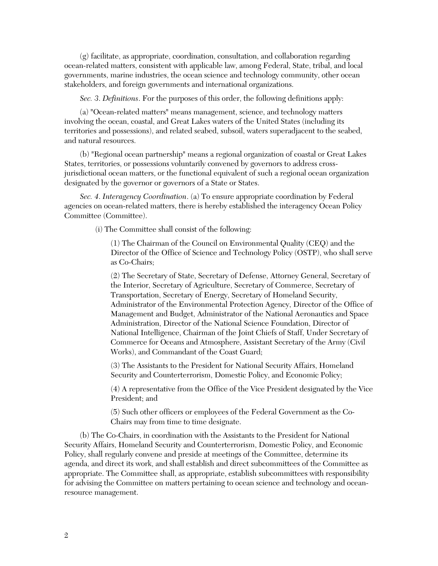(g) facilitate, as appropriate, coordination, consultation, and collaboration regarding ocean-related matters, consistent with applicable law, among Federal, State, tribal, and local governments, marine industries, the ocean science and technology community, other ocean stakeholders, and foreign governments and international organizations.

*Sec. 3*. *Definitions*. For the purposes of this order, the following definitions apply:

(a) "Ocean-related matters" means management, science, and technology matters involving the ocean, coastal, and Great Lakes waters of the United States (including its territories and possessions), and related seabed, subsoil, waters superadjacent to the seabed, and natural resources.

(b) "Regional ocean partnership" means a regional organization of coastal or Great Lakes States, territories, or possessions voluntarily convened by governors to address crossjurisdictional ocean matters, or the functional equivalent of such a regional ocean organization designated by the governor or governors of a State or States.

*Sec. 4*. *Interagency Coordination*. (a) To ensure appropriate coordination by Federal agencies on ocean-related matters, there is hereby established the interagency Ocean Policy Committee (Committee).

(i) The Committee shall consist of the following:

(1) The Chairman of the Council on Environmental Quality (CEQ) and the Director of the Office of Science and Technology Policy (OSTP), who shall serve as Co-Chairs;

(2) The Secretary of State, Secretary of Defense, Attorney General, Secretary of the Interior, Secretary of Agriculture, Secretary of Commerce, Secretary of Transportation, Secretary of Energy, Secretary of Homeland Security, Administrator of the Environmental Protection Agency, Director of the Office of Management and Budget, Administrator of the National Aeronautics and Space Administration, Director of the National Science Foundation, Director of National Intelligence, Chairman of the Joint Chiefs of Staff, Under Secretary of Commerce for Oceans and Atmosphere, Assistant Secretary of the Army (Civil Works), and Commandant of the Coast Guard;

(3) The Assistants to the President for National Security Affairs, Homeland Security and Counterterrorism, Domestic Policy, and Economic Policy;

(4) A representative from the Office of the Vice President designated by the Vice President; and

(5) Such other officers or employees of the Federal Government as the Co-Chairs may from time to time designate.

(b) The Co-Chairs, in coordination with the Assistants to the President for National Security Affairs, Homeland Security and Counterterrorism, Domestic Policy, and Economic Policy, shall regularly convene and preside at meetings of the Committee, determine its agenda, and direct its work, and shall establish and direct subcommittees of the Committee as appropriate. The Committee shall, as appropriate, establish subcommittees with responsibility for advising the Committee on matters pertaining to ocean science and technology and oceanresource management.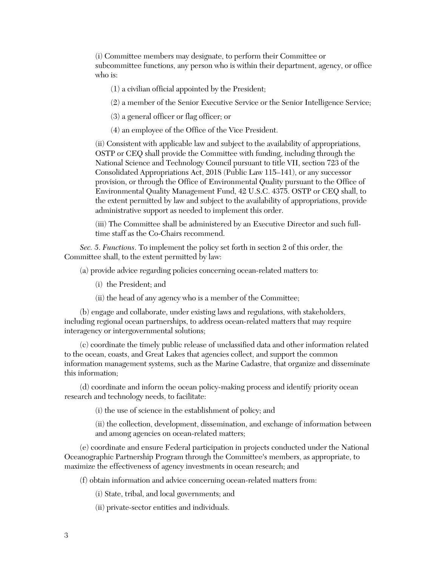(i) Committee members may designate, to perform their Committee or subcommittee functions, any person who is within their department, agency, or office who is:

(1) a civilian official appointed by the President;

(2) a member of the Senior Executive Service or the Senior Intelligence Service;

(3) a general officer or flag officer; or

(4) an employee of the Office of the Vice President.

(ii) Consistent with applicable law and subject to the availability of appropriations, OSTP or CEQ shall provide the Committee with funding, including through the National Science and Technology Council pursuant to title VII, section 723 of the Consolidated Appropriations Act, 2018 (Public Law 115–141), or any successor provision, or through the Office of Environmental Quality pursuant to the Office of Environmental Quality Management Fund, 42 U.S.C. 4375. OSTP or CEQ shall, to the extent permitted by law and subject to the availability of appropriations, provide administrative support as needed to implement this order.

(iii) The Committee shall be administered by an Executive Director and such fulltime staff as the Co-Chairs recommend.

*Sec. 5*. *Functions*. To implement the policy set forth in section 2 of this order, the Committee shall, to the extent permitted by law:

(a) provide advice regarding policies concerning ocean-related matters to:

- (i) the President; and
- (ii) the head of any agency who is a member of the Committee;

(b) engage and collaborate, under existing laws and regulations, with stakeholders, including regional ocean partnerships, to address ocean-related matters that may require interagency or intergovernmental solutions;

(c) coordinate the timely public release of unclassified data and other information related to the ocean, coasts, and Great Lakes that agencies collect, and support the common information management systems, such as the Marine Cadastre, that organize and disseminate this information;

(d) coordinate and inform the ocean policy-making process and identify priority ocean research and technology needs, to facilitate:

(i) the use of science in the establishment of policy; and

(ii) the collection, development, dissemination, and exchange of information between and among agencies on ocean-related matters;

(e) coordinate and ensure Federal participation in projects conducted under the National Oceanographic Partnership Program through the Committee's members, as appropriate, to maximize the effectiveness of agency investments in ocean research; and

(f) obtain information and advice concerning ocean-related matters from:

(i) State, tribal, and local governments; and

(ii) private-sector entities and individuals.